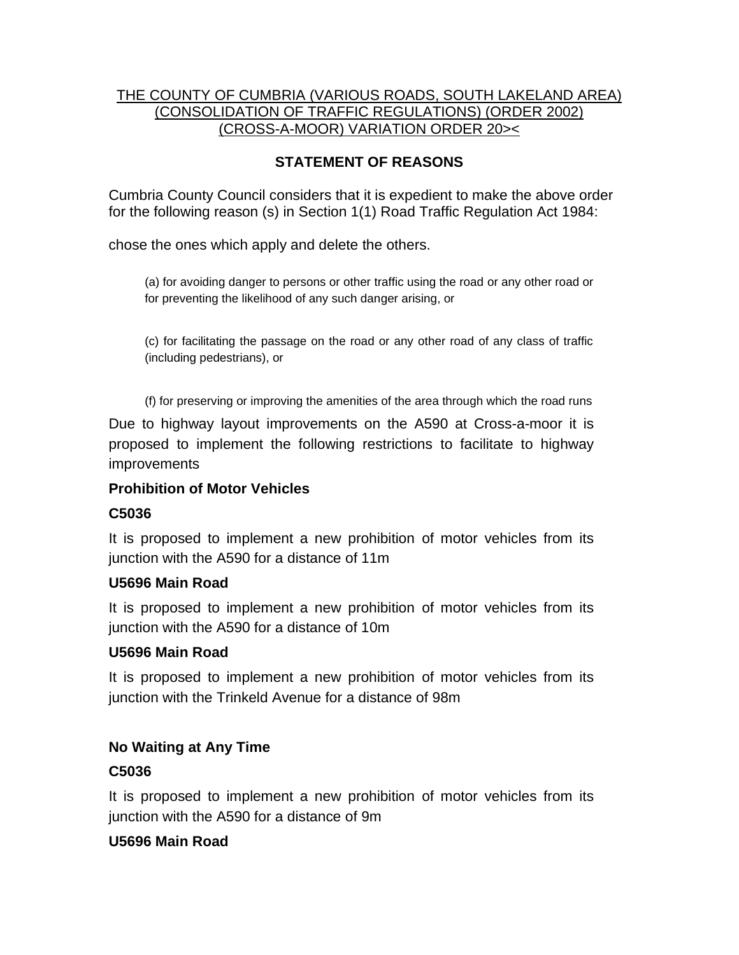### THE COUNTY OF CUMBRIA (VARIOUS ROADS, SOUTH LAKELAND AREA) (CONSOLIDATION OF TRAFFIC REGULATIONS) (ORDER 2002) (CROSS-A-MOOR) VARIATION ORDER 20><

# **STATEMENT OF REASONS**

Cumbria County Council considers that it is expedient to make the above order for the following reason (s) in Section 1(1) Road Traffic Regulation Act 1984:

chose the ones which apply and delete the others.

(a) for avoiding danger to persons or other traffic using the road or any other road or for preventing the likelihood of any such danger arising, or

(c) for facilitating the passage on the road or any other road of any class of traffic (including pedestrians), or

(f) for preserving or improving the amenities of the area through which the road runs

Due to highway layout improvements on the A590 at Cross-a-moor it is proposed to implement the following restrictions to facilitate to highway improvements

## **Prohibition of Motor Vehicles**

## **C5036**

It is proposed to implement a new prohibition of motor vehicles from its junction with the A590 for a distance of 11m

## **U5696 Main Road**

It is proposed to implement a new prohibition of motor vehicles from its junction with the A590 for a distance of 10m

## **U5696 Main Road**

It is proposed to implement a new prohibition of motor vehicles from its junction with the Trinkeld Avenue for a distance of 98m

## **No Waiting at Any Time**

## **C5036**

It is proposed to implement a new prohibition of motor vehicles from its junction with the A590 for a distance of 9m

## **U5696 Main Road**